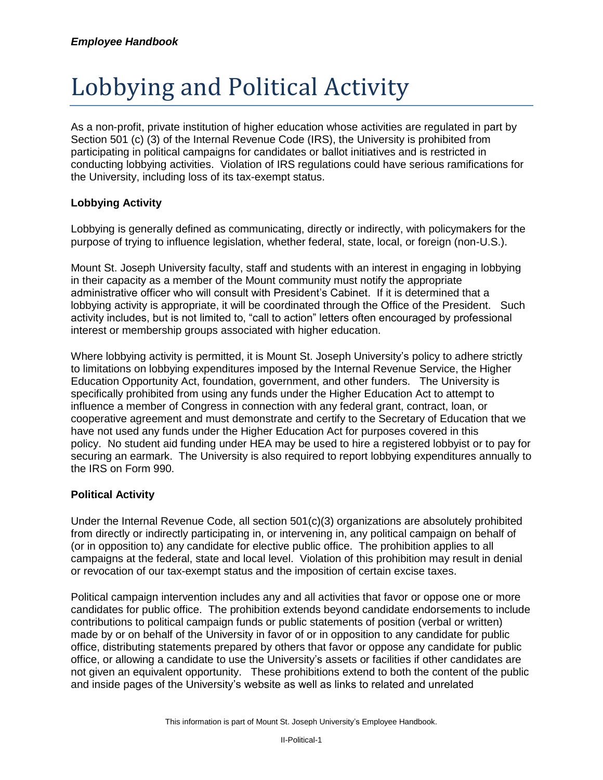## Lobbying and Political Activity

As a non-profit, private institution of higher education whose activities are regulated in part by Section 501 (c) (3) of the Internal Revenue Code (IRS), the University is prohibited from participating in political campaigns for candidates or ballot initiatives and is restricted in conducting lobbying activities. Violation of IRS regulations could have serious ramifications for the University, including loss of its tax-exempt status.

## **Lobbying Activity**

Lobbying is generally defined as communicating, directly or indirectly, with policymakers for the purpose of trying to influence legislation, whether federal, state, local, or foreign (non-U.S.).

Mount St. Joseph University faculty, staff and students with an interest in engaging in lobbying in their capacity as a member of the Mount community must notify the appropriate administrative officer who will consult with President's Cabinet. If it is determined that a lobbying activity is appropriate, it will be coordinated through the Office of the President. Such activity includes, but is not limited to, "call to action" letters often encouraged by professional interest or membership groups associated with higher education.

Where lobbying activity is permitted, it is Mount St. Joseph University's policy to adhere strictly to limitations on lobbying expenditures imposed by the Internal Revenue Service, the Higher Education Opportunity Act, foundation, government, and other funders. The University is specifically prohibited from using any funds under the Higher Education Act to attempt to influence a member of Congress in connection with any federal grant, contract, loan, or cooperative agreement and must demonstrate and certify to the Secretary of Education that we have not used any funds under the Higher Education Act for purposes covered in this policy. No student aid funding under HEA may be used to hire a registered lobbyist or to pay for securing an earmark. The University is also required to report lobbying expenditures annually to the IRS on Form 990.

## **Political Activity**

Under the Internal Revenue Code, all section 501(c)(3) organizations are absolutely prohibited from directly or indirectly participating in, or intervening in, any political campaign on behalf of (or in opposition to) any candidate for elective public office. The prohibition applies to all campaigns at the federal, state and local level. Violation of this prohibition may result in denial or revocation of our tax-exempt status and the imposition of certain excise taxes.

Political campaign intervention includes any and all activities that favor or oppose one or more candidates for public office. The prohibition extends beyond candidate endorsements to include contributions to political campaign funds or public statements of position (verbal or written) made by or on behalf of the University in favor of or in opposition to any candidate for public office, distributing statements prepared by others that favor or oppose any candidate for public office, or allowing a candidate to use the University's assets or facilities if other candidates are not given an equivalent opportunity. These prohibitions extend to both the content of the public and inside pages of the University's website as well as links to related and unrelated